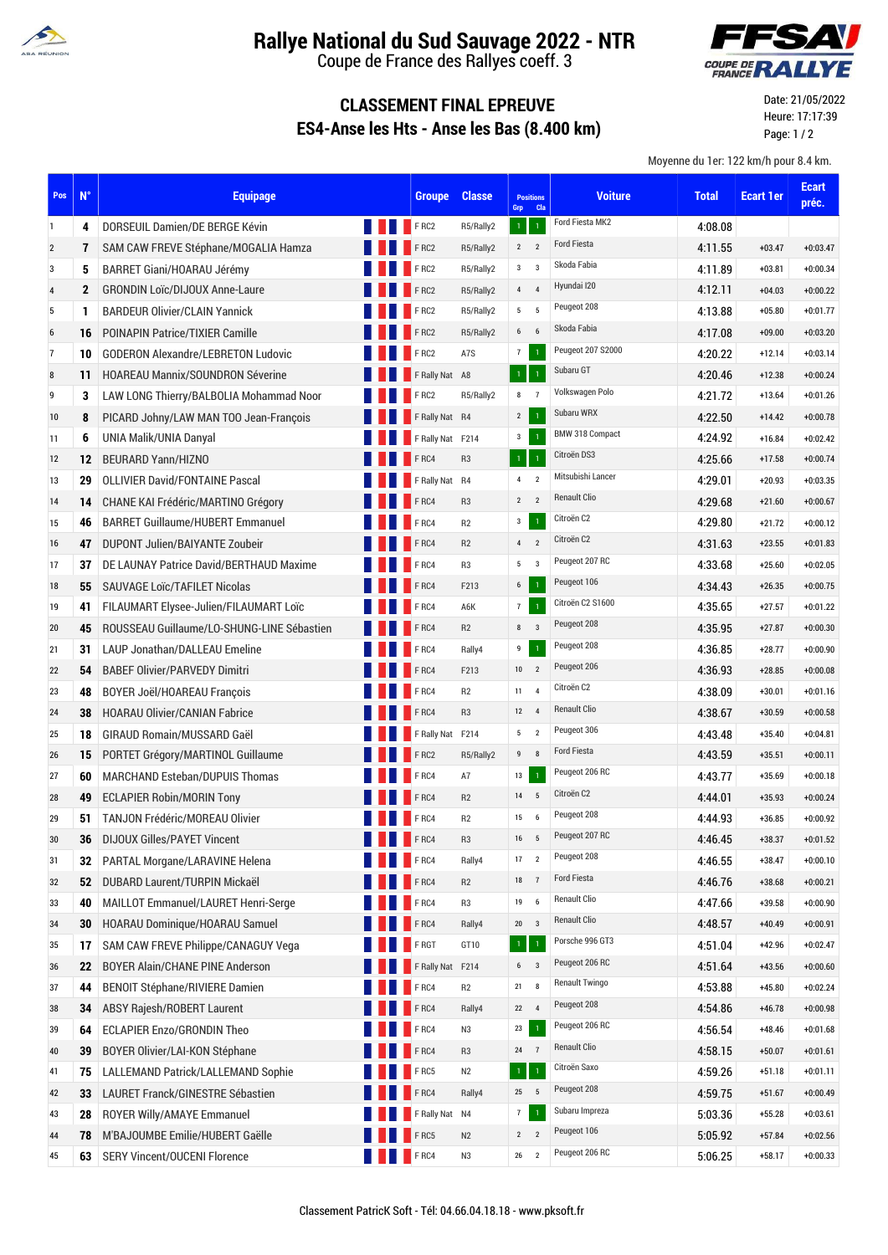

## **Rallye National du Sud Sauvage 2022 - NTR**

Coupe de France des Rallyes coeff. 3

#### **YAV** COUPE DE **RAI**

### **CLASSEMENT FINAL EPREUVE ES4-Anse les Hts - Anse les Bas (8.400 km)**

Date: 21/05/2022 Heure: 17:17:39 Page: 1 / 2

Moyenne du 1er: 122 km/h pour 8.4 km.

| Pos            | $N^{\circ}$  | <b>Equipage</b>                            |             | <b>Groupe</b>    | <b>Classe</b>  | <b>Positions</b><br>Grp | <b>Cla</b>              | <b>Voiture</b>         | <b>Total</b> | <b>Ecart 1er</b> | <b>Ecart</b><br>préc. |
|----------------|--------------|--------------------------------------------|-------------|------------------|----------------|-------------------------|-------------------------|------------------------|--------------|------------------|-----------------------|
| 1              | 4            | DORSEUIL Damien/DE BERGE Kévin             |             | FRC2             | R5/Rally2      | $\mathbf{1}$            | $\mathbf{1}$            | Ford Fiesta MK2        | 4:08.08      |                  |                       |
| $\overline{2}$ | 7            | SAM CAW FREVE Stéphane/MOGALIA Hamza       |             | FRC2             | R5/Rally2      | $2^{\circ}$             | $\overline{2}$          | Ford Fiesta            | 4:11.55      | $+03.47$         | $+0:03.47$            |
| 3              | 5            | BARRET Giani/HOARAU Jérémy                 |             | FRC2             | R5/Rally2      | $3^{\circ}$ 3           |                         | Skoda Fabia            | 4:11.89      | $+03.81$         | $+0:00.34$            |
| $\sqrt{4}$     | $\mathbf{2}$ | <b>GRONDIN Loïc/DIJOUX Anne-Laure</b>      |             | FRC2             | R5/Rally2      | $4\quad 4$              |                         | Hyundai I20            | 4:12.11      | $+04.03$         | $+0:00.22$            |
| 5              | 1            | <b>BARDEUR Olivier/CLAIN Yannick</b>       |             | FRC2             | R5/Rally2      | 5 <sub>5</sub>          | $-5$                    | Peugeot 208            | 4:13.88      | $+05.80$         | $+0:01.77$            |
| 6              | 16           | <b>POINAPIN Patrice/TIXIER Camille</b>     |             | FRC2             | R5/Rally2      | $6\qquad 6$             |                         | Skoda Fabia            | 4:17.08      | $+09.00$         | $+0:03.20$            |
| $\overline{7}$ | 10           | <b>GODERON Alexandre/LEBRETON Ludovic</b>  |             | FRC2             | A7S            | 7                       | $\mathbf 1$             | Peugeot 207 S2000      | 4:20.22      | $+12.14$         | $+0:03.14$            |
| 8              | 11           | <b>HOAREAU Mannix/SOUNDRON Séverine</b>    |             | F Rally Nat A8   |                | $\mathbf{1}$            |                         | Subaru GT              | 4:20.46      | $+12.38$         | $+0:00.24$            |
| 9              | 3            | LAW LONG Thierry/BALBOLIA Mohammad Noor    |             | FRC2             | R5/Rally2      | 8                       | $\overline{7}$          | Volkswagen Polo        | 4:21.72      | $+13.64$         | $+0:01.26$            |
| 10             | 8            | PICARD Johny/LAW MAN TOO Jean-François     |             | F Rally Nat R4   |                | $2^{\circ}$             | $\mathbf{1}$            | Subaru WRX             | 4:22.50      | $+14.42$         | $+0:00.78$            |
| 11             | 6            | UNIA Malik/UNIA Danyal                     |             | F Rally Nat F214 |                | 3 <sup>1</sup>          | $\overline{1}$          | <b>BMW 318 Compact</b> | 4:24.92      | $+16.84$         | $+0:02.42$            |
| 12             | 12           | <b>BEURARD Yann/HIZNO</b>                  |             | F <sub>RC4</sub> | R <sub>3</sub> | $\mathbf 1$             | $\overline{1}$          | Citroën DS3            | 4:25.66      | $+17.58$         | $+0:00.74$            |
| 13             | 29           | <b>OLLIVIER David/FONTAINE Pascal</b>      |             | F Rally Nat R4   |                | $\overline{4}$          | $\overline{2}$          | Mitsubishi Lancer      | 4:29.01      | $+20.93$         | $+0:03.35$            |
| 14             | 14           | CHANE KAI Frédéric/MARTINO Grégory         |             | FRC4             | R <sub>3</sub> | $2 \quad 2$             |                         | <b>Renault Clio</b>    | 4:29.68      | $+21.60$         | $+0:00.67$            |
| 15             | 46           | <b>BARRET Guillaume/HUBERT Emmanuel</b>    |             | FRC4             | R <sub>2</sub> | $\mathbf{3}$            | $\mathbf 1$             | Citroën C2             | 4:29.80      | $+21.72$         | $+0:00.12$            |
| 16             | 47           | DUPONT Julien/BAIYANTE Zoubeir             |             | F <sub>RC4</sub> | R2             | $\overline{4}$          | $\overline{2}$          | Citroën C2             | 4.31.63      | $+23.55$         | $+0:01.83$            |
| 17             | 37           | DE LAUNAY Patrice David/BERTHAUD Maxime    |             | <b>FRC4</b>      | R <sub>3</sub> | $5 \qquad 3$            |                         | Peugeot 207 RC         | 4:33.68      | $+25.60$         | $+0:02.05$            |
| 18             | 55           | SAUVAGE Loïc/TAFILET Nicolas               |             | <b>FRC4</b>      | F213           | $6\overline{6}$         | $\,1\,$                 | Peugeot 106            | 4:34.43      | $+26.35$         | $+0:00.75$            |
| 19             | 41           | FILAUMART Elysee-Julien/FILAUMART Loïc     |             | F <sub>RC4</sub> | A6K            | 7                       | $\overline{1}$          | Citroën C2 S1600       | 4:35.65      | $+27.57$         | $+0:01.22$            |
| 20             | 45           | ROUSSEAU Guillaume/LO-SHUNG-LINE Sébastien |             | FRC4             | R2             | 8                       | $\overline{\mathbf{3}}$ | Peugeot 208            | 4.35.95      | $+27.87$         | $+0:00.30$            |
| 21             | 31           | LAUP Jonathan/DALLEAU Emeline              |             | F <sub>RC4</sub> | Rally4         | 9                       | $\mathbf{1}$            | Peugeot 208            | 4:36.85      | $+28.77$         | $+0:00.90$            |
| 22             | 54           | <b>BABEF Olivier/PARVEDY Dimitri</b>       |             | <b>FRC4</b>      | F213           | $10 \qquad 2$           |                         | Peugeot 206            | 4.36.93      | $+28.85$         | $+0:00.08$            |
| 23             | 48           | BOYER Joël/HOAREAU François                |             | $F$ RC4          | R2             | 11                      | $\overline{4}$          | Citroën C2             | 4:38.09      | $+30.01$         | $+0:01.16$            |
| 24             | 38           | <b>HOARAU Olivier/CANIAN Fabrice</b>       |             | F <sub>RC4</sub> | R <sub>3</sub> | 12                      | $\overline{4}$          | <b>Renault Clio</b>    | 4:38.67      | $+30.59$         | $+0:00.58$            |
| 25             | 18           | GIRAUD Romain/MUSSARD Gaël                 |             | F Rally Nat F214 |                | 5 <sub>2</sub>          |                         | Peugeot 306            | 4:43.48      | $+35.40$         | $+0:04.81$            |
| 26             | 15           | PORTET Grégory/MARTINOL Guillaume          |             | FRC2             | R5/Rally2      | 9                       | 8                       | Ford Fiesta            | 4:43.59      | $+35.51$         | $+0:00.11$            |
| 27             | 60           | <b>MARCHAND Esteban/DUPUIS Thomas</b>      |             | F <sub>RC4</sub> | A7             | 13                      | $\mathbf{1}$            | Peugeot 206 RC         | 4:43.77      | $+35.69$         | $+0:00.18$            |
| 28             | 49           | <b>ECLAPIER Robin/MORIN Tony</b>           |             | <b>FRC4</b>      | R2             | 14                      | 5                       | Citroën C2             | 4:44.01      | $+35.93$         | $+0:00.24$            |
| 29             | 51           | <b>TANJON Frédéric/MOREAU Olivier</b>      |             | FRC4             | R2             | 15                      | 6                       | Peugeot 208            | 4:44.93      | $+36.85$         | $+0:00.92$            |
| 30             | 36           | <b>DIJOUX Gilles/PAYET Vincent</b>         |             | FRC4             | R <sub>3</sub> | 16                      | 5                       | Peugeot 207 RC         | 4:46.45      | $+38.37$         | $+0:01.52$            |
| 31             | 32           | PARTAL Morgane/LARAVINE Helena             |             | <b>FRC4</b>      | Rally4         | 17                      | $\overline{2}$          | Peugeot 208            | 4:46.55      | $+38.47$         | $+0:00.10$            |
| 32             | 52           | DUBARD Laurent/TURPIN Mickaël              |             | FRC4             | R2             | 18                      | $\overline{7}$          | <b>Ford Fiesta</b>     | 4:46.76      | $+38.68$         | $+0:00.21$            |
| 33             | 40           | MAILLOT Emmanuel/LAURET Henri-Serge        |             | FRC4             | R <sub>3</sub> | 19                      | $\,$ 6 $\,$             | <b>Renault Clio</b>    | 4:47.66      | $+39.58$         | $+0:00.90$            |
| 34             | 30           | HOARAU Dominique/HOARAU Samuel             |             | FRC4             | Rally4         | $20\,$                  | $\overline{3}$          | <b>Renault Clio</b>    | 4:48.57      | $+40.49$         | $+0:00.91$            |
| 35             | 17           | SAM CAW FREVE Philippe/CANAGUY Vega        |             | F RGT            | GT10           | $\mathbf 1$             | $\mathbf 1$             | Porsche 996 GT3        | 4:51.04      | $+42.96$         | $+0:02.47$            |
| 36             | 22           | <b>BOYER Alain/CHANE PINE Anderson</b>     |             | F Rally Nat F214 |                | 6 <sub>3</sub>          |                         | Peugeot 206 RC         | 4:51.64      | $+43.56$         | $+0:00.60$            |
| 37             | 44           | <b>BENOIT Stéphane/RIVIERE Damien</b>      |             | FRC4             | R2             | 21                      | 8                       | <b>Renault Twingo</b>  | 4:53.88      | $+45.80$         | $+0:02.24$            |
| 38             | 34           | ABSY Rajesh/ROBERT Laurent                 |             | FRC4             | Rally4         | 22 4                    |                         | Peugeot 208            | 4:54.86      | $+46.78$         | $+0:00.98$            |
| 39             | 64           | ECLAPIER Enzo/GRONDIN Theo                 |             | FRC4             | N3             | 23                      | $\mathbf 1$             | Peugeot 206 RC         | 4:56.54      | $+48.46$         | $+0:01.68$            |
| 40             | 39           | BOYER Olivier/LAI-KON Stéphane             |             | FRC4             | R <sub>3</sub> | 24 7                    |                         | <b>Renault Clio</b>    | 4:58.15      | $+50.07$         | $+0:01.61$            |
| 41             | 75           | LALLEMAND Patrick/LALLEMAND Sophie         |             | FRC5             | N2             | $\mathbf 1$             | $\,1\,$                 | Citroën Saxo           | 4:59.26      | $+51.18$         | $+0:01.11$            |
| 42             | 33           | LAURET Franck/GINESTRE Sébastien           |             | FRC4             | Rally4         | 25 5                    |                         | Peugeot 208            | 4:59.75      | $+51.67$         | $+0:00.49$            |
| 43             | 28           | ROYER Willy/AMAYE Emmanuel                 |             | F Rally Nat N4   |                | $\overline{7}$          | $\mathbf 1$             | Subaru Impreza         | 5:03.36      | $+55.28$         | $+0:03.61$            |
| 44             | 78           | M'BAJOUMBE Emilie/HUBERT Gaëlle            |             | FRC5             | N2             | $2^{\circ}$             | $\overline{2}$          | Peugeot 106            | 5:05.92      | $+57.84$         | $+0:02.56$            |
| 45             | 63           | <b>SERY Vincent/OUCENI Florence</b>        | <b>FRC4</b> |                  | N3             | 26                      | $\overline{2}$          | Peugeot 206 RC         | 5:06.25      | $+58.17$         | $+0:00.33$            |